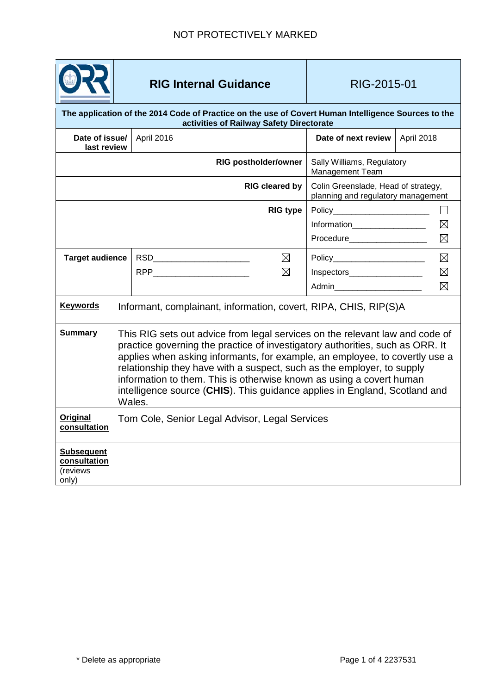

## **RIG Internal Guidance RIG-2015-01**

<span id="page-0-0"></span>

| The application of the 2014 Code of Practice on the use of Covert Human Intelligence Sources to the<br>activities of Railway Safety Directorate |                                                                                                                                                                                                                                                                                                                                                                                                                                                                                        |                                              |                                                                           |                                           |  |
|-------------------------------------------------------------------------------------------------------------------------------------------------|----------------------------------------------------------------------------------------------------------------------------------------------------------------------------------------------------------------------------------------------------------------------------------------------------------------------------------------------------------------------------------------------------------------------------------------------------------------------------------------|----------------------------------------------|---------------------------------------------------------------------------|-------------------------------------------|--|
| Date of issue/<br>last review                                                                                                                   |                                                                                                                                                                                                                                                                                                                                                                                                                                                                                        | April 2016                                   | Date of next review                                                       | April 2018                                |  |
|                                                                                                                                                 |                                                                                                                                                                                                                                                                                                                                                                                                                                                                                        | <b>RIG postholder/owner</b>                  | Sally Williams, Regulatory<br>Management Team                             |                                           |  |
| <b>RIG cleared by</b>                                                                                                                           |                                                                                                                                                                                                                                                                                                                                                                                                                                                                                        |                                              | Colin Greenslade, Head of strategy,<br>planning and regulatory management |                                           |  |
|                                                                                                                                                 |                                                                                                                                                                                                                                                                                                                                                                                                                                                                                        | <b>RIG type</b>                              | Information_________________                                              | $\boxtimes$<br>$\boxtimes$                |  |
| <b>Target audience</b>                                                                                                                          |                                                                                                                                                                                                                                                                                                                                                                                                                                                                                        | RSD <b>RSD</b><br>$\boxtimes$<br>$\boxtimes$ | Policy<br>Inspectors<br>Admin___________________________                  | $\boxtimes$<br>$\boxtimes$<br>$\boxtimes$ |  |
| <b>Keywords</b>                                                                                                                                 | Informant, complainant, information, covert, RIPA, CHIS, RIP(S)A                                                                                                                                                                                                                                                                                                                                                                                                                       |                                              |                                                                           |                                           |  |
| <b>Summary</b>                                                                                                                                  | This RIG sets out advice from legal services on the relevant law and code of<br>practice governing the practice of investigatory authorities, such as ORR. It<br>applies when asking informants, for example, an employee, to covertly use a<br>relationship they have with a suspect, such as the employer, to supply<br>information to them. This is otherwise known as using a covert human<br>intelligence source (CHIS). This guidance applies in England, Scotland and<br>Wales. |                                              |                                                                           |                                           |  |
| <b>Original</b><br>consultation                                                                                                                 | Tom Cole, Senior Legal Advisor, Legal Services                                                                                                                                                                                                                                                                                                                                                                                                                                         |                                              |                                                                           |                                           |  |
| <b>Subsequent</b><br>consultation<br>(reviews<br>only)                                                                                          |                                                                                                                                                                                                                                                                                                                                                                                                                                                                                        |                                              |                                                                           |                                           |  |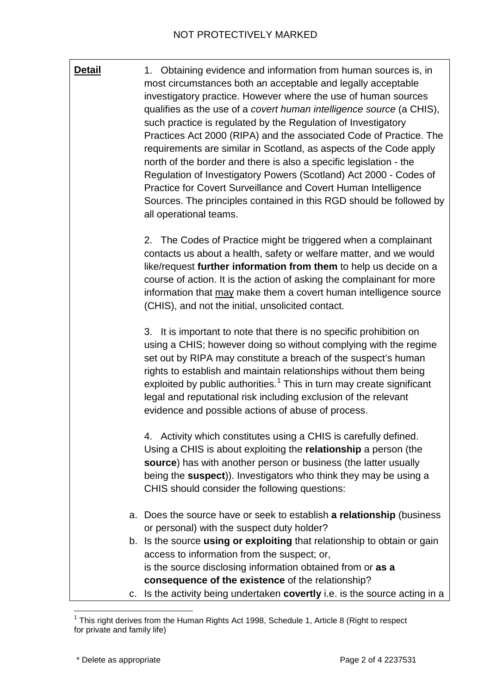**Detail** 1. Obtaining evidence and information from human sources is, in most circumstances both an acceptable and legally acceptable investigatory practice. However where the use of human sources qualifies as the use of a *covert human intelligence source* (a CHIS), such practice is regulated by the Regulation of Investigatory Practices Act 2000 (RIPA) and the associated Code of Practice. The requirements are similar in Scotland, as aspects of the Code apply north of the border and there is also a specific legislation - the Regulation of Investigatory Powers (Scotland) Act 2000 - Codes of Practice for Covert Surveillance and Covert Human Intelligence Sources. The principles contained in this RGD should be followed by all operational teams.

> 2. The Codes of Practice might be triggered when a complainant contacts us about a health, safety or welfare matter, and we would like/request **further information from them** to help us decide on a course of action. It is the action of asking the complainant for more information that may make them a covert human intelligence source (CHIS), and not the initial, unsolicited contact.

3. It is important to note that there is no specific prohibition on using a CHIS; however doing so without complying with the regime set out by RIPA may constitute a breach of the suspect's human rights to establish and maintain relationships without them being exploited by public authorities.<sup>[1](#page-0-0)</sup> This in turn may create significant legal and reputational risk including exclusion of the relevant evidence and possible actions of abuse of process.

4. Activity which constitutes using a CHIS is carefully defined. Using a CHIS is about exploiting the **relationship** a person (the **source**) has with another person or business (the latter usually being the **suspect**)). Investigators who think they may be using a CHIS should consider the following questions:

- a. Does the source have or seek to establish **a relationship** (business or personal) with the suspect duty holder?
- b. Is the source **using or exploiting** that relationship to obtain or gain access to information from the suspect; or, is the source disclosing information obtained from or **as a consequence of the existence** of the relationship?
- c. Is the activity being undertaken **covertly** i.e. is the source acting in a

 $1$  This right derives from the Human Rights Act 1998, Schedule 1, Article 8 (Right to respect for private and family life)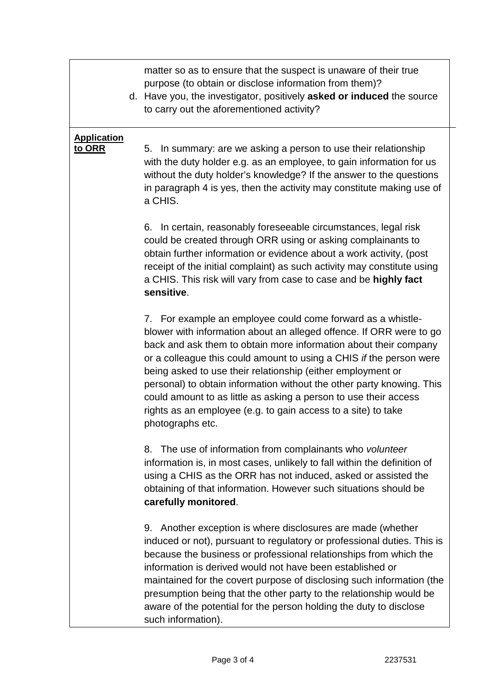matter so as to ensure that the suspect is unaware of their true purpose (to obtain or disclose information from them)?

d. Have you, the investigator, positively **asked or induced** the source to carry out the aforementioned activity?

## **Application to ORR**

5. In summary: are we asking a person to use their relationship with the duty holder e.g. as an employee, to gain information for us without the duty holder's knowledge? If the answer to the questions in paragraph 4 is yes, then the activity may constitute making use of a CHIS.

6. In certain, reasonably foreseeable circumstances, legal risk could be created through ORR using or asking complainants to obtain further information or evidence about a work activity, (post receipt of the initial complaint) as such activity may constitute using a CHIS. This risk will vary from case to case and be **highly fact sensitive**.

7. For example an employee could come forward as a whistleblower with information about an alleged offence. If ORR were to go back and ask them to obtain more information about their company or a colleague this could amount to using a CHIS *if* the person were being asked to use their relationship (either employment or personal) to obtain information without the other party knowing. This could amount to as little as asking a person to use their access rights as an employee (e.g. to gain access to a site) to take photographs etc.

8. The use of information from complainants who *volunteer* information is, in most cases, unlikely to fall within the definition of using a CHIS as the ORR has not induced, asked or assisted the obtaining of that information. However such situations should be **carefully monitored**.

9. Another exception is where disclosures are made (whether induced or not), pursuant to regulatory or professional duties. This is because the business or professional relationships from which the information is derived would not have been established or maintained for the covert purpose of disclosing such information (the presumption being that the other party to the relationship would be aware of the potential for the person holding the duty to disclose such information).